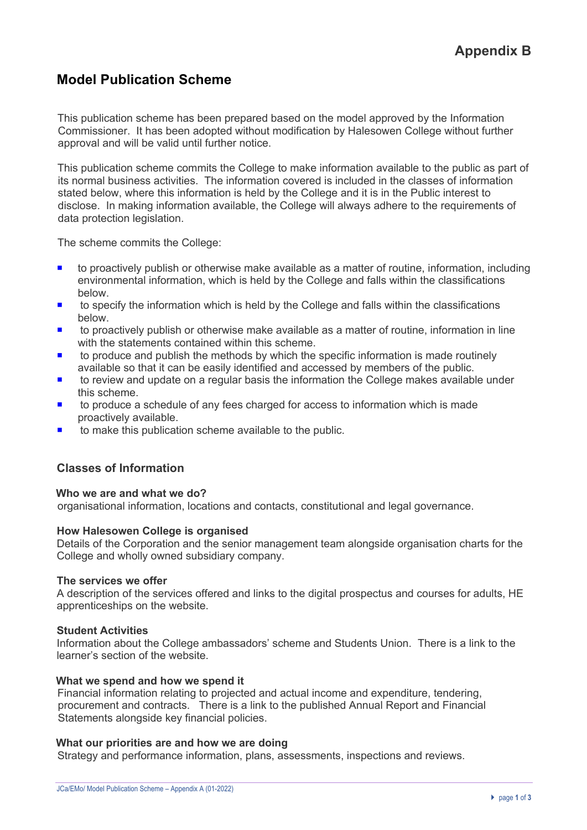# **Model Publication Scheme**

This publication scheme has been prepared based on the model approved by the Information Commissioner. It has been adopted without modification by Halesowen College without further approval and will be valid until further notice.

This publication scheme commits the College to make information available to the public as part of its normal business activities. The information covered is included in the classes of information stated below, where this information is held by the College and it is in the Public interest to disclose. In making information available, the College will always adhere to the requirements of data protection legislation.

The scheme commits the College:

- ¡ to proactively publish or otherwise make available as a matter of routine, information, including environmental information, which is held by the College and falls within the classifications below.
- to specify the information which is held by the College and falls within the classifications below.
- to proactively publish or otherwise make available as a matter of routine, information in line with the statements contained within this scheme.
- to produce and publish the methods by which the specific information is made routinely available so that it can be easily identified and accessed by members of the public.
- to review and update on a regular basis the information the College makes available under this scheme.
- to produce a schedule of any fees charged for access to information which is made proactively available.
- $\blacksquare$  to make this publication scheme available to the public.

## **Classes of Information**

### **Who we are and what we do?**

organisational information, locations and contacts, constitutional and legal governance.

### **How Halesowen College is organised**

Details of the Corporation and the senior management team alongside organisation charts for the College and wholly owned subsidiary company.

### **The services we offer**

A description of the services offered and links to the digital prospectus and courses for adults, HE apprenticeships on the website.

### **Student Activities**

Information about the College ambassadors' scheme and Students Union. There is a link to the learner's section of the website.

### **What we spend and how we spend it**

Financial information relating to projected and actual income and expenditure, tendering, procurement and contracts. There is a link to the published Annual Report and Financial Statements alongside key financial policies.

### **What our priorities are and how we are doing**

Strategy and performance information, plans, assessments, inspections and reviews.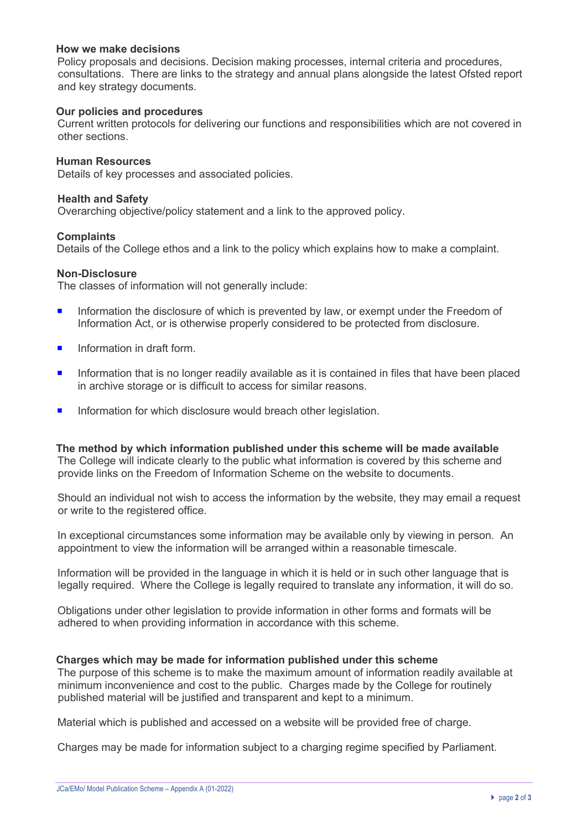## **How we make decisions**

Policy proposals and decisions. Decision making processes, internal criteria and procedures, consultations. There are links to the strategy and annual plans alongside the latest Ofsted report and key strategy documents.

## **Our policies and procedures**

Current written protocols for delivering our functions and responsibilities which are not covered in other sections.

### **Human Resources**

Details of key processes and associated policies.

#### **Health and Safety**

Overarching objective/policy statement and a link to the approved policy.

#### **Complaints**

Details of the College ethos and a link to the policy which explains how to make a complaint.

#### **Non-Disclosure**

The classes of information will not generally include:

- **•** Information the disclosure of which is prevented by law, or exempt under the Freedom of Information Act, or is otherwise properly considered to be protected from disclosure.
- $\blacksquare$  Information in draft form.
- **•** Information that is no longer readily available as it is contained in files that have been placed in archive storage or is difficult to access for similar reasons.
- **<u>■**</u> Information for which disclosure would breach other legislation.

**The method by which information published under this scheme will be made available**  The College will indicate clearly to the public what information is covered by this scheme and provide links on the Freedom of Information Scheme on the website to documents.

Should an individual not wish to access the information by the website, they may email a request or write to the registered office.

In exceptional circumstances some information may be available only by viewing in person. An appointment to view the information will be arranged within a reasonable timescale.

Information will be provided in the language in which it is held or in such other language that is legally required. Where the College is legally required to translate any information, it will do so.

Obligations under other legislation to provide information in other forms and formats will be adhered to when providing information in accordance with this scheme.

### **Charges which may be made for information published under this scheme**

The purpose of this scheme is to make the maximum amount of information readily available at minimum inconvenience and cost to the public. Charges made by the College for routinely published material will be justified and transparent and kept to a minimum.

Material which is published and accessed on a website will be provided free of charge.

Charges may be made for information subject to a charging regime specified by Parliament.